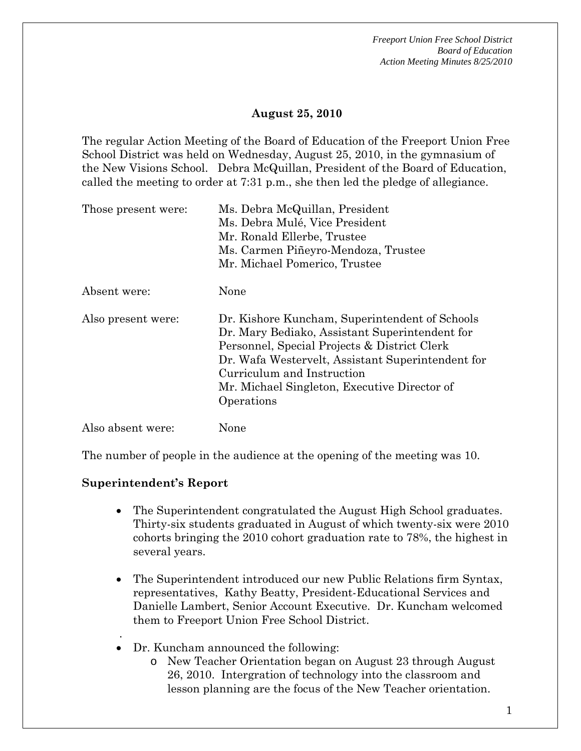## **August 25, 2010**

The regular Action Meeting of the Board of Education of the Freeport Union Free School District was held on Wednesday, August 25, 2010, in the gymnasium of the New Visions School. Debra McQuillan, President of the Board of Education, called the meeting to order at 7:31 p.m., she then led the pledge of allegiance.

| Those present were: | Ms. Debra McQuillan, President<br>Ms. Debra Mulé, Vice President<br>Mr. Ronald Ellerbe, Trustee<br>Ms. Carmen Piñeyro-Mendoza, Trustee<br>Mr. Michael Pomerico, Trustee                                                                                                                           |
|---------------------|---------------------------------------------------------------------------------------------------------------------------------------------------------------------------------------------------------------------------------------------------------------------------------------------------|
| Absent were:        | None                                                                                                                                                                                                                                                                                              |
| Also present were:  | Dr. Kishore Kuncham, Superintendent of Schools<br>Dr. Mary Bediako, Assistant Superintendent for<br>Personnel, Special Projects & District Clerk<br>Dr. Wafa Westervelt, Assistant Superintendent for<br>Curriculum and Instruction<br>Mr. Michael Singleton, Executive Director of<br>Operations |
| Also absent were:   | None                                                                                                                                                                                                                                                                                              |

The number of people in the audience at the opening of the meeting was 10.

## **Superintendent's Report**

.

- The Superintendent congratulated the August High School graduates. Thirty-six students graduated in August of which twenty-six were 2010 cohorts bringing the 2010 cohort graduation rate to 78%, the highest in several years.
- The Superintendent introduced our new Public Relations firm Syntax, representatives, Kathy Beatty, President-Educational Services and Danielle Lambert, Senior Account Executive. Dr. Kuncham welcomed them to Freeport Union Free School District.
- Dr. Kuncham announced the following:
	- o New Teacher Orientation began on August 23 through August 26, 2010. Intergration of technology into the classroom and lesson planning are the focus of the New Teacher orientation.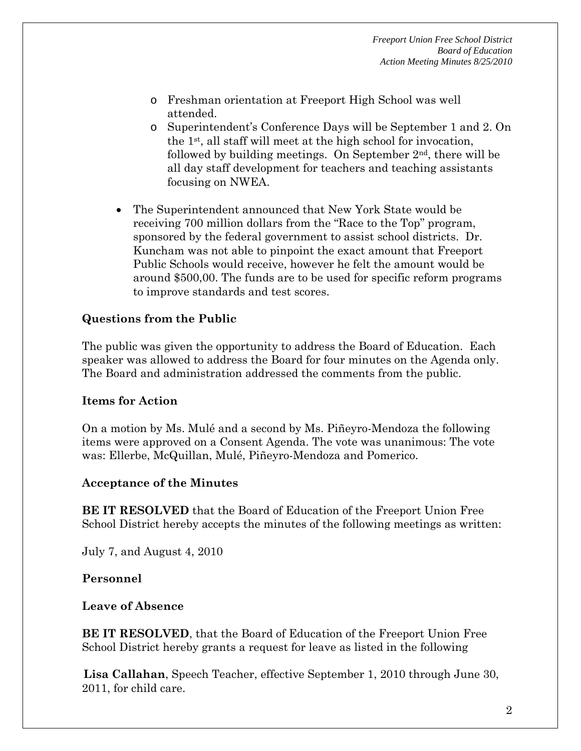- o Freshman orientation at Freeport High School was well attended.
- o Superintendent's Conference Days will be September 1 and 2. On the 1st, all staff will meet at the high school for invocation, followed by building meetings. On September  $2<sup>nd</sup>$ , there will be all day staff development for teachers and teaching assistants focusing on NWEA.
- The Superintendent announced that New York State would be receiving 700 million dollars from the "Race to the Top" program, sponsored by the federal government to assist school districts. Dr. Kuncham was not able to pinpoint the exact amount that Freeport Public Schools would receive, however he felt the amount would be around \$500,00. The funds are to be used for specific reform programs to improve standards and test scores.

## **Questions from the Public**

The public was given the opportunity to address the Board of Education. Each speaker was allowed to address the Board for four minutes on the Agenda only. The Board and administration addressed the comments from the public.

## **Items for Action**

On a motion by Ms. Mulé and a second by Ms. Piñeyro-Mendoza the following items were approved on a Consent Agenda. The vote was unanimous: The vote was: Ellerbe, McQuillan, Mulé, Piñeyro-Mendoza and Pomerico.

## **Acceptance of the Minutes**

**BE IT RESOLVED** that the Board of Education of the Freeport Union Free School District hereby accepts the minutes of the following meetings as written:

July 7, and August 4, 2010

## **Personnel**

## **Leave of Absence**

**BE IT RESOLVED**, that the Board of Education of the Freeport Union Free School District hereby grants a request for leave as listed in the following

**Lisa Callahan**, Speech Teacher, effective September 1, 2010 through June 30, 2011, for child care.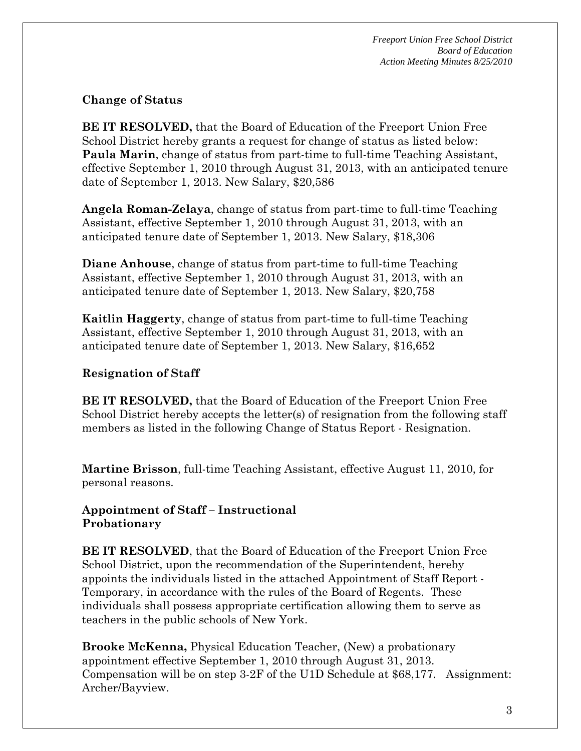# **Change of Status**

**BE IT RESOLVED,** that the Board of Education of the Freeport Union Free School District hereby grants a request for change of status as listed below: **Paula Marin**, change of status from part-time to full-time Teaching Assistant, effective September 1, 2010 through August 31, 2013, with an anticipated tenure date of September 1, 2013. New Salary, \$20,586

**Angela Roman-Zelaya**, change of status from part-time to full-time Teaching Assistant, effective September 1, 2010 through August 31, 2013, with an anticipated tenure date of September 1, 2013. New Salary, \$18,306

**Diane Anhouse**, change of status from part-time to full-time Teaching Assistant, effective September 1, 2010 through August 31, 2013, with an anticipated tenure date of September 1, 2013. New Salary, \$20,758

**Kaitlin Haggerty**, change of status from part-time to full-time Teaching Assistant, effective September 1, 2010 through August 31, 2013, with an anticipated tenure date of September 1, 2013. New Salary, \$16,652

## **Resignation of Staff**

**BE IT RESOLVED,** that the Board of Education of the Freeport Union Free School District hereby accepts the letter(s) of resignation from the following staff members as listed in the following Change of Status Report - Resignation.

**Martine Brisson**, full-time Teaching Assistant, effective August 11, 2010, for personal reasons.

## **Appointment of Staff – Instructional Probationary**

**BE IT RESOLVED**, that the Board of Education of the Freeport Union Free School District, upon the recommendation of the Superintendent, hereby appoints the individuals listed in the attached Appointment of Staff Report - Temporary, in accordance with the rules of the Board of Regents. These individuals shall possess appropriate certification allowing them to serve as teachers in the public schools of New York.

**Brooke McKenna,** Physical Education Teacher, (New) a probationary appointment effective September 1, 2010 through August 31, 2013. Compensation will be on step 3-2F of the U1D Schedule at \$68,177. Assignment: Archer/Bayview.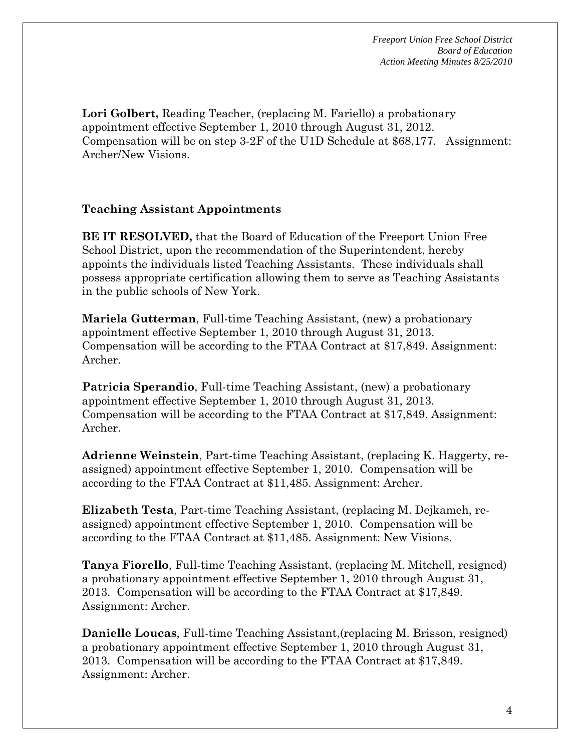**Lori Golbert,** Reading Teacher, (replacing M. Fariello) a probationary appointment effective September 1, 2010 through August 31, 2012. Compensation will be on step 3-2F of the U1D Schedule at \$68,177. Assignment: Archer/New Visions.

## **Teaching Assistant Appointments**

**BE IT RESOLVED,** that the Board of Education of the Freeport Union Free School District, upon the recommendation of the Superintendent, hereby appoints the individuals listed Teaching Assistants. These individuals shall possess appropriate certification allowing them to serve as Teaching Assistants in the public schools of New York.

**Mariela Gutterman**, Full-time Teaching Assistant, (new) a probationary appointment effective September 1, 2010 through August 31, 2013. Compensation will be according to the FTAA Contract at \$17,849. Assignment: Archer.

**Patricia Sperandio**, Full-time Teaching Assistant, (new) a probationary appointment effective September 1, 2010 through August 31, 2013. Compensation will be according to the FTAA Contract at \$17,849. Assignment: Archer.

**Adrienne Weinstein**, Part-time Teaching Assistant, (replacing K. Haggerty, reassigned) appointment effective September 1, 2010. Compensation will be according to the FTAA Contract at \$11,485. Assignment: Archer.

**Elizabeth Testa**, Part-time Teaching Assistant, (replacing M. Dejkameh, reassigned) appointment effective September 1, 2010. Compensation will be according to the FTAA Contract at \$11,485. Assignment: New Visions.

**Tanya Fiorello**, Full-time Teaching Assistant, (replacing M. Mitchell, resigned) a probationary appointment effective September 1, 2010 through August 31, 2013. Compensation will be according to the FTAA Contract at \$17,849. Assignment: Archer.

**Danielle Loucas**, Full-time Teaching Assistant,(replacing M. Brisson, resigned) a probationary appointment effective September 1, 2010 through August 31, 2013. Compensation will be according to the FTAA Contract at \$17,849. Assignment: Archer.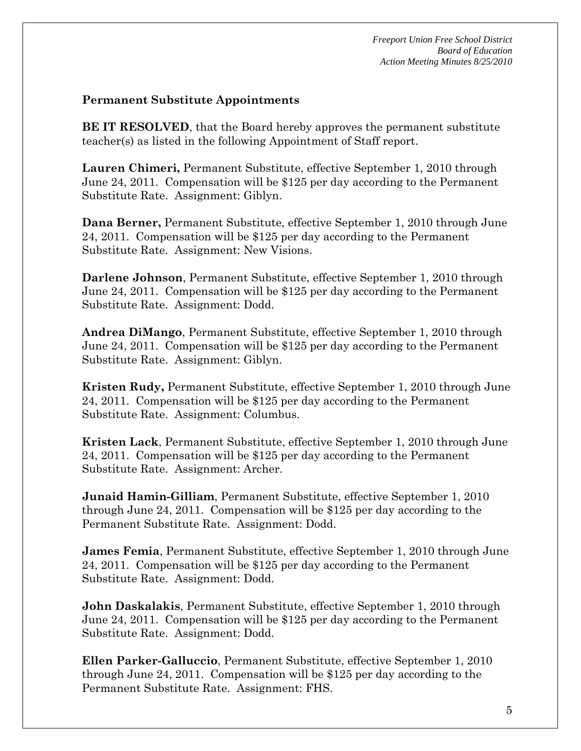## **Permanent Substitute Appointments**

**BE IT RESOLVED**, that the Board hereby approves the permanent substitute teacher(s) as listed in the following Appointment of Staff report.

**Lauren Chimeri,** Permanent Substitute, effective September 1, 2010 through June 24, 2011. Compensation will be \$125 per day according to the Permanent Substitute Rate. Assignment: Giblyn.

**Dana Berner,** Permanent Substitute, effective September 1, 2010 through June 24, 2011. Compensation will be \$125 per day according to the Permanent Substitute Rate. Assignment: New Visions.

**Darlene Johnson**, Permanent Substitute, effective September 1, 2010 through June 24, 2011. Compensation will be \$125 per day according to the Permanent Substitute Rate. Assignment: Dodd.

**Andrea DiMango**, Permanent Substitute, effective September 1, 2010 through June 24, 2011. Compensation will be \$125 per day according to the Permanent Substitute Rate. Assignment: Giblyn.

**Kristen Rudy,** Permanent Substitute, effective September 1, 2010 through June 24, 2011. Compensation will be \$125 per day according to the Permanent Substitute Rate. Assignment: Columbus.

**Kristen Lack**, Permanent Substitute, effective September 1, 2010 through June 24, 2011. Compensation will be \$125 per day according to the Permanent Substitute Rate. Assignment: Archer.

**Junaid Hamin-Gilliam**, Permanent Substitute, effective September 1, 2010 through June 24, 2011. Compensation will be \$125 per day according to the Permanent Substitute Rate. Assignment: Dodd.

**James Femia**, Permanent Substitute, effective September 1, 2010 through June 24, 2011. Compensation will be \$125 per day according to the Permanent Substitute Rate. Assignment: Dodd.

**John Daskalakis**, Permanent Substitute, effective September 1, 2010 through June 24, 2011. Compensation will be \$125 per day according to the Permanent Substitute Rate. Assignment: Dodd.

**Ellen Parker-Galluccio**, Permanent Substitute, effective September 1, 2010 through June 24, 2011. Compensation will be \$125 per day according to the Permanent Substitute Rate. Assignment: FHS.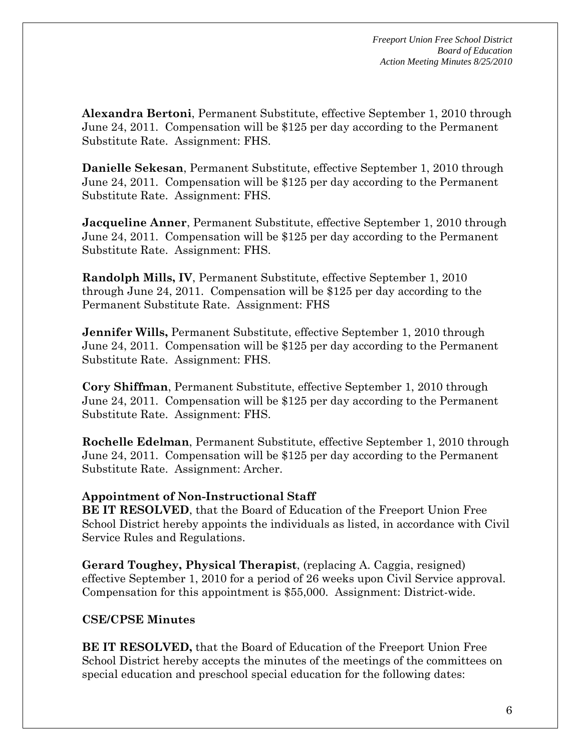**Alexandra Bertoni**, Permanent Substitute, effective September 1, 2010 through June 24, 2011. Compensation will be \$125 per day according to the Permanent Substitute Rate. Assignment: FHS.

**Danielle Sekesan**, Permanent Substitute, effective September 1, 2010 through June 24, 2011. Compensation will be \$125 per day according to the Permanent Substitute Rate. Assignment: FHS.

**Jacqueline Anner**, Permanent Substitute, effective September 1, 2010 through June 24, 2011. Compensation will be \$125 per day according to the Permanent Substitute Rate. Assignment: FHS.

**Randolph Mills, IV**, Permanent Substitute, effective September 1, 2010 through June 24, 2011. Compensation will be \$125 per day according to the Permanent Substitute Rate. Assignment: FHS

**Jennifer Wills,** Permanent Substitute, effective September 1, 2010 through June 24, 2011. Compensation will be \$125 per day according to the Permanent Substitute Rate. Assignment: FHS.

**Cory Shiffman**, Permanent Substitute, effective September 1, 2010 through June 24, 2011. Compensation will be \$125 per day according to the Permanent Substitute Rate. Assignment: FHS.

**Rochelle Edelman**, Permanent Substitute, effective September 1, 2010 through June 24, 2011. Compensation will be \$125 per day according to the Permanent Substitute Rate. Assignment: Archer.

# **Appointment of Non-Instructional Staff**

**BE IT RESOLVED**, that the Board of Education of the Freeport Union Free School District hereby appoints the individuals as listed, in accordance with Civil Service Rules and Regulations.

**Gerard Toughey, Physical Therapist**, (replacing A. Caggia, resigned) effective September 1, 2010 for a period of 26 weeks upon Civil Service approval. Compensation for this appointment is \$55,000. Assignment: District-wide.

# **CSE/CPSE Minutes**

**BE IT RESOLVED,** that the Board of Education of the Freeport Union Free School District hereby accepts the minutes of the meetings of the committees on special education and preschool special education for the following dates: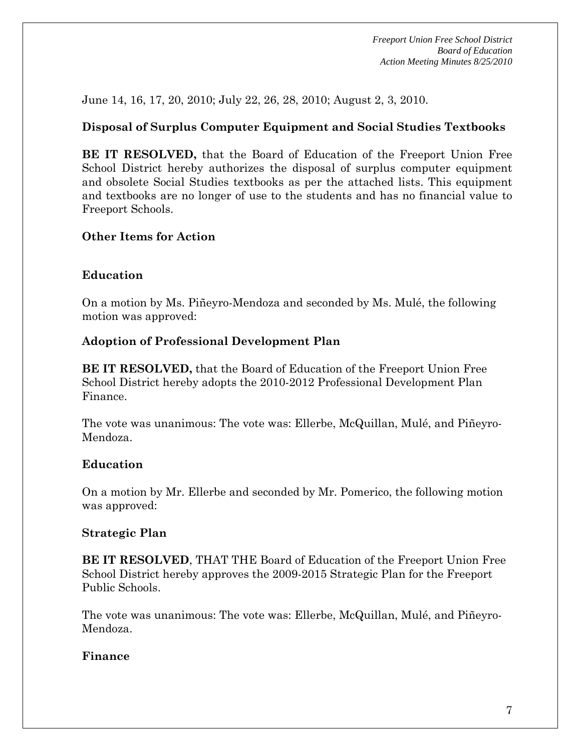June 14, 16, 17, 20, 2010; July 22, 26, 28, 2010; August 2, 3, 2010.

# **Disposal of Surplus Computer Equipment and Social Studies Textbooks**

**BE IT RESOLVED,** that the Board of Education of the Freeport Union Free School District hereby authorizes the disposal of surplus computer equipment and obsolete Social Studies textbooks as per the attached lists. This equipment and textbooks are no longer of use to the students and has no financial value to Freeport Schools.

# **Other Items for Action**

# **Education**

On a motion by Ms. Piñeyro-Mendoza and seconded by Ms. Mulé, the following motion was approved:

# **Adoption of Professional Development Plan**

**BE IT RESOLVED,** that the Board of Education of the Freeport Union Free School District hereby adopts the 2010-2012 Professional Development Plan Finance.

The vote was unanimous: The vote was: Ellerbe, McQuillan, Mulé, and Piñeyro-Mendoza.

# **Education**

On a motion by Mr. Ellerbe and seconded by Mr. Pomerico, the following motion was approved:

## **Strategic Plan**

**BE IT RESOLVED**, THAT THE Board of Education of the Freeport Union Free School District hereby approves the 2009-2015 Strategic Plan for the Freeport Public Schools.

The vote was unanimous: The vote was: Ellerbe, McQuillan, Mulé, and Piñeyro-Mendoza.

## **Finance**